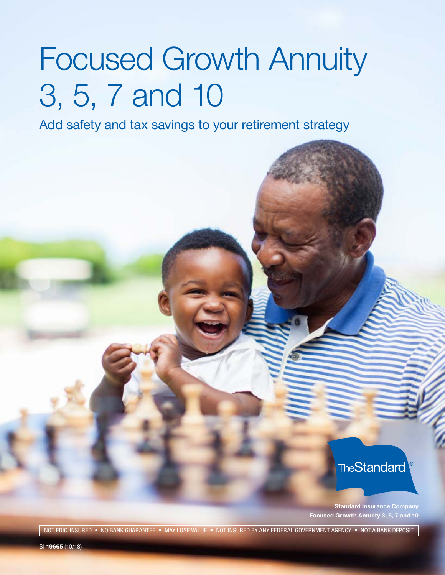# Focused Growth Annuity 3, 5, 7 and 10

Add safety and tax savings to your retirement strategy

**TheStandard** 

**Standard Insurance Company Focused Growth Annuity 3, 5, 7 and 10** 

- NOT FDIC INSURED • NO BANK GUARANTEE • MAY LOSE VALUE • NOT INSURED BY ANY FEDERAL GOVERNMENT AGENCY • NOT A BANK DEPOSIT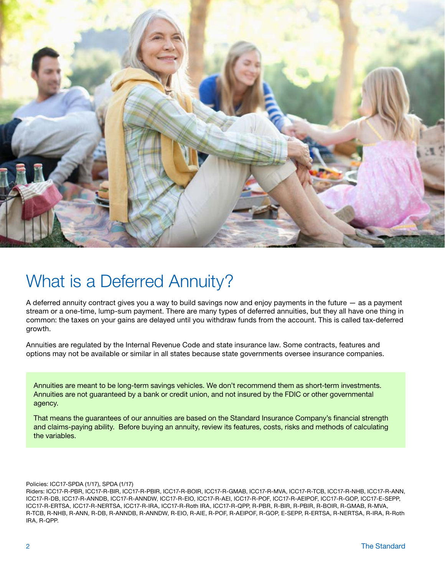

## What is a Deferred Annuity?

A deferred annuity contract gives you a way to build savings now and enjoy payments in the future — as a payment stream or a one-time, lump-sum payment. There are many types of deferred annuities, but they all have one thing in common: the taxes on your gains are delayed until you withdraw funds from the account. This is called tax-deferred growth.

Annuities are regulated by the Internal Revenue Code and state insurance law. Some contracts, features and options may not be available or similar in all states because state governments oversee insurance companies.

Annuities are meant to be long-term savings vehicles. We don't recommend them as short-term investments. Annuities are not guaranteed by a bank or credit union, and not insured by the FDIC or other governmental agency.

That means the guarantees of our annuities are based on the Standard Insurance Company's financial strength and claims-paying ability. Before buying an annuity, review its features, costs, risks and methods of calculating the variables.

Policies: ICC17-SPDA (1/17), SPDA (1/17)

Riders: ICC17-R-PBR, ICC17-R-BIR, ICC17-R-PBIR, ICC17-R-BOIR, ICC17-R-GMAB, ICC17-R-MVA, ICC17-R-TCB, ICC17-R-NHB, ICC17-R-ANN, ICC17-R-DB, ICC17-R-ANNDB, ICC17-R-ANNDW, ICC17-R-EIO, ICC17-R-AEI, ICC17-R-POF, ICC17-R-AEIPOF, ICC17-R-GOP, ICC17-E-SEPP, ICC17-R-ERTSA, ICC17-R-NERTSA, ICC17-R-IRA, ICC17-R-Roth IRA, ICC17-R-QPP, R-PBR, R-BIR, R-PBIR, R-BOIR, R-GMAB, R-MVA, R-TCB, R-NHB, R-ANN, R-DB, R-ANNDB, R-ANNDW, R-EIO, R-AIE, R-POF, R-AEIPOF, R-GOP, E-SEPP, R-ERTSA, R-NERTSA, R-IRA, R-Roth IRA, R-QPP.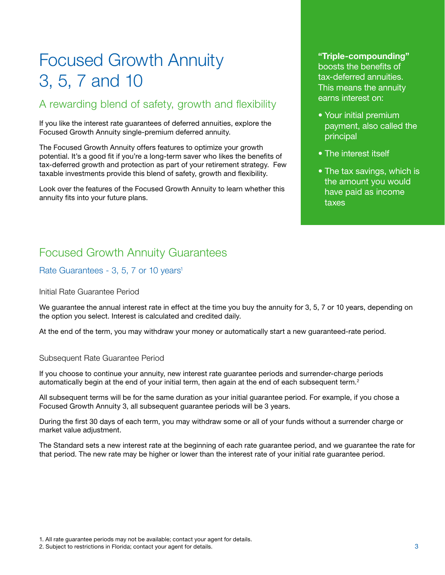# Focused Growth Annuity 3, 5, 7 and 10

## A rewarding blend of safety, growth and flexibility

If you like the interest rate guarantees of deferred annuities, explore the Focused Growth Annuity single-premium deferred annuity.

The Focused Growth Annuity offers features to optimize your growth potential. It's a good fit if you're a long-term saver who likes the benefits of tax-deferred growth and protection as part of your retirement strategy. Few taxable investments provide this blend of safety, growth and flexibility.

Look over the features of the Focused Growth Annuity to learn whether this annuity fits into your future plans.

## **"Triple-compounding"**  boosts the benefits of tax-deferred annuities. This means the annuity earns interest on:

- Your initial premium payment, also called the principal
- The interest itself
- The tax savings, which is the amount you would have paid as income taxes

## Focused Growth Annuity Guarantees

Rate Guarantees - 3, 5, 7 or 10 years<sup>1</sup>

Initial Rate Guarantee Period

We guarantee the annual interest rate in effect at the time you buy the annuity for 3, 5, 7 or 10 years, depending on the option you select. Interest is calculated and credited daily.

At the end of the term, you may withdraw your money or automatically start a new guaranteed-rate period.

#### Subsequent Rate Guarantee Period

If you choose to continue your annuity, new interest rate guarantee periods and surrender-charge periods automatically begin at the end of your initial term, then again at the end of each subsequent term.<sup>2</sup>

All subsequent terms will be for the same duration as your initial guarantee period. For example, if you chose a Focused Growth Annuity 3, all subsequent guarantee periods will be 3 years.

During the first 30 days of each term, you may withdraw some or all of your funds without a surrender charge or market value adjustment.

The Standard sets a new interest rate at the beginning of each rate guarantee period, and we guarantee the rate for that period. The new rate may be higher or lower than the interest rate of your initial rate guarantee period.

<sup>1.</sup> All rate guarantee periods may not be available; contact your agent for details.

<sup>2.</sup> Subject to restrictions in Florida; contact your agent for details. 3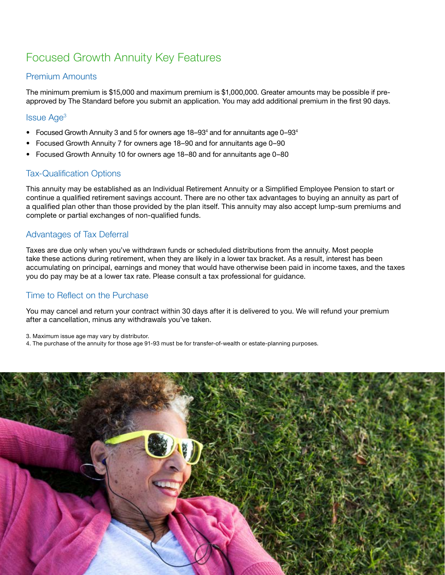## Focused Growth Annuity Key Features

## Premium Amounts

The minimum premium is \$15,000 and maximum premium is \$1,000,000. Greater amounts may be possible if preapproved by The Standard before you submit an application. You may add additional premium in the first 90 days.

## Issue Age3

- Focused Growth Annuity 3 and 5 for owners age  $18-93<sup>4</sup>$  and for annuitants age 0-93<sup>4</sup>
- Focused Growth Annuity 7 for owners age 18–90 and for annuitants age 0–90
- Focused Growth Annuity 10 for owners age 18–80 and for annuitants age 0–80

## Tax-Qualification Options

This annuity may be established as an Individual Retirement Annuity or a Simplified Employee Pension to start or continue a qualified retirement savings account. There are no other tax advantages to buying an annuity as part of a qualified plan other than those provided by the plan itself. This annuity may also accept lump-sum premiums and complete or partial exchanges of non-qualified funds.

## Advantages of Tax Deferral

Taxes are due only when you've withdrawn funds or scheduled distributions from the annuity. Most people take these actions during retirement, when they are likely in a lower tax bracket. As a result, interest has been accumulating on principal, earnings and money that would have otherwise been paid in income taxes, and the taxes you do pay may be at a lower tax rate. Please consult a tax professional for guidance.

## Time to Reflect on the Purchase

You may cancel and return your contract within 30 days after it is delivered to you. We will refund your premium after a cancellation, minus any withdrawals you've taken.

3. Maximum issue age may vary by distributor.

4. The purchase of the annuity for those age 91-93 must be for transfer-of-wealth or estate-planning purposes.

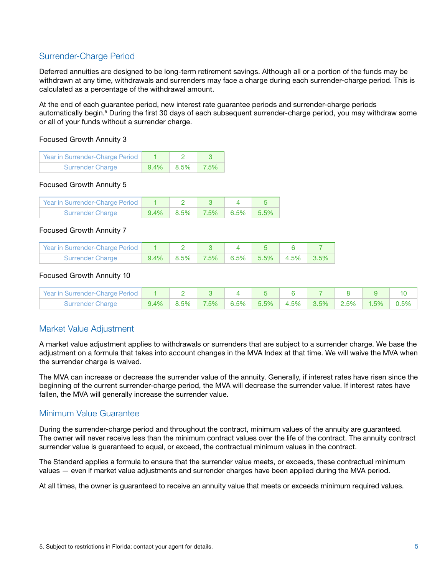## Surrender-Charge Period

Deferred annuities are designed to be long-term retirement savings. Although all or a portion of the funds may be withdrawn at any time, withdrawals and surrenders may face a charge during each surrender-charge period. This is calculated as a percentage of the withdrawal amount.

At the end of each guarantee period, new interest rate guarantee periods and surrender-charge periods automatically begin.<sup>5</sup> During the first 30 days of each subsequent surrender-charge period, you may withdraw some or all of your funds without a surrender charge.

#### Focused Growth Annuity 3

| Year in Surrender-Charge Period |      |      |         |  |
|---------------------------------|------|------|---------|--|
| <b>Surrender Charge</b>         | 9.4% | 8.5% | $7.5\%$ |  |

#### Focused Growth Annuity 5

| Year in Surrender-Charge Period |         |      |      |         |        |
|---------------------------------|---------|------|------|---------|--------|
| <b>Surrender Charge</b>         | $9.4\%$ | 8.5% | 7.5% | $6.5\%$ | - 5.5% |

#### Focused Growth Annuity 7

| Year in Surrender-Charge Period   1   2   3 |  |                                       |  |  |
|---------------------------------------------|--|---------------------------------------|--|--|
| <b>Surrender Charge</b>                     |  | $9.4\%$ 8.5% 7.5% 6.5% 5.5% 4.5% 3.5% |  |  |

#### Focused Growth Annuity 10

| Year in Surrender-Charge Period |      |         |                    |      |              |         |         |      |      |
|---------------------------------|------|---------|--------------------|------|--------------|---------|---------|------|------|
| <b>Surrender Charge</b>         | 9.4% | $8.5\%$ | $\mid$ 7.5% $\mid$ | 6.5% | $5.5\%$ 4.5% | $3.5\%$ | $2.5\%$ | 1.5% | 0.5% |

## Market Value Adjustment

A market value adjustment applies to withdrawals or surrenders that are subject to a surrender charge. We base the adjustment on a formula that takes into account changes in the MVA Index at that time. We will waive the MVA when the surrender charge is waived.

The MVA can increase or decrease the surrender value of the annuity. Generally, if interest rates have risen since the beginning of the current surrender-charge period, the MVA will decrease the surrender value. If interest rates have fallen, the MVA will generally increase the surrender value.

## Minimum Value Guarantee

During the surrender-charge period and throughout the contract, minimum values of the annuity are guaranteed. The owner will never receive less than the minimum contract values over the life of the contract. The annuity contract surrender value is guaranteed to equal, or exceed, the contractual minimum values in the contract.

The Standard applies a formula to ensure that the surrender value meets, or exceeds, these contractual minimum values — even if market value adjustments and surrender charges have been applied during the MVA period.

At all times, the owner is guaranteed to receive an annuity value that meets or exceeds minimum required values.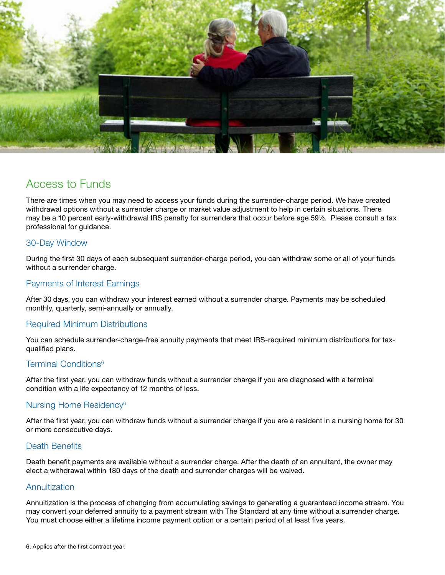

## Access to Funds

 professional for guidance. There are times when you may need to access your funds during the surrender-charge period. We have created withdrawal options without a surrender charge or market value adjustment to help in certain situations. There may be a 10 percent early-withdrawal IRS penalty for surrenders that occur before age 59½. Please consult a tax

## 30-Day Window

During the first 30 days of each subsequent surrender-charge period, you can withdraw some or all of your funds without a surrender charge.

## Payments of Interest Earnings

After 30 days, you can withdraw your interest earned without a surrender charge. Payments may be scheduled monthly, quarterly, semi-annually or annually.

## Required Minimum Distributions

You can schedule surrender-charge-free annuity payments that meet IRS-required minimum distributions for taxqualified plans.

## Terminal Conditions<sup>6</sup>

After the first year, you can withdraw funds without a surrender charge if you are diagnosed with a terminal condition with a life expectancy of 12 months of less.

## Nursing Home Residency6

After the first year, you can withdraw funds without a surrender charge if you are a resident in a nursing home for 30 or more consecutive days.

## Death Benefits

Death benefit payments are available without a surrender charge. After the death of an annuitant, the owner may elect a withdrawal within 180 days of the death and surrender charges will be waived.

## **Annuitization**

Annuitization is the process of changing from accumulating savings to generating a guaranteed income stream. You may convert your deferred annuity to a payment stream with The Standard at any time without a surrender charge. You must choose either a lifetime income payment option or a certain period of at least five years.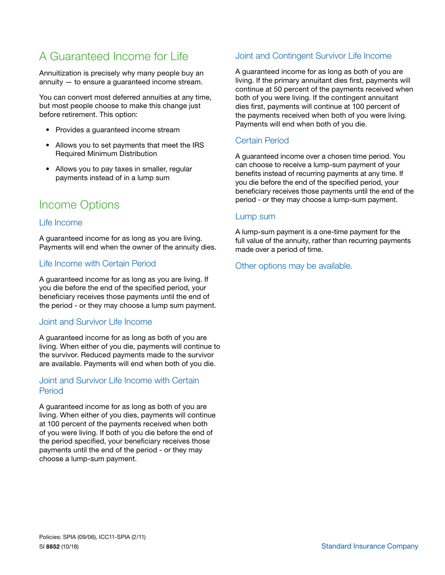## A Guaranteed Income for Life

Annuitization is precisely why many people buy an annuity — to ensure a guaranteed income stream.

You can convert most deferred annuities at any time, but most people choose to make this change just before retirement. This option:

- Provides a guaranteed income stream
- Allows you to set payments that meet the IRS Required Minimum Distribution
- Allows you to pay taxes in smaller, regular payments instead of in a lump sum

## Income Options

## Life Income

A guaranteed income for as long as you are living. Payments will end when the owner of the annuity dies.

## Life Income with Certain Period

A guaranteed income for as long as you are living. If you die before the end of the specifed period, your beneficiary receives those payments until the end of the period - or they may choose a lump sum payment.

## Joint and Survivor Life Income

A guaranteed income for as long as both of you are living. When either of you die, payments will continue to the survivor. Reduced payments made to the survivor are available. Payments will end when both of you die.

## Joint and Survivor Life Income with Certain Period

A guaranteed income for as long as both of you are living. When either of you dies, payments will continue at 100 percent of the payments received when both of you were living. If both of you die before the end of the period specified, your beneficiary receives those payments until the end of the period - or they may choose a lump-sum payment.

## Joint and Contingent Survivor Life Income

A guaranteed income for as long as both of you are living. If the primary annuitant dies first, payments will continue at 50 percent of the payments received when both of you were living. If the contingent annuitant dies first, payments will continue at 100 percent of the payments received when both of you were living. Payments will end when both of you die.

## Certain Period

A guaranteed income over a chosen time period. You can choose to receive a lump-sum payment of your benefits instead of recurring payments at any time. If you die before the end of the specifed period, your beneficiary receives those payments until the end of the period - or they may choose a lump-sum payment.

#### Lump sum

A lump-sum payment is a one-time payment for the full value of the annuity, rather than recurring payments made over a period of time.

## Other options may be available.